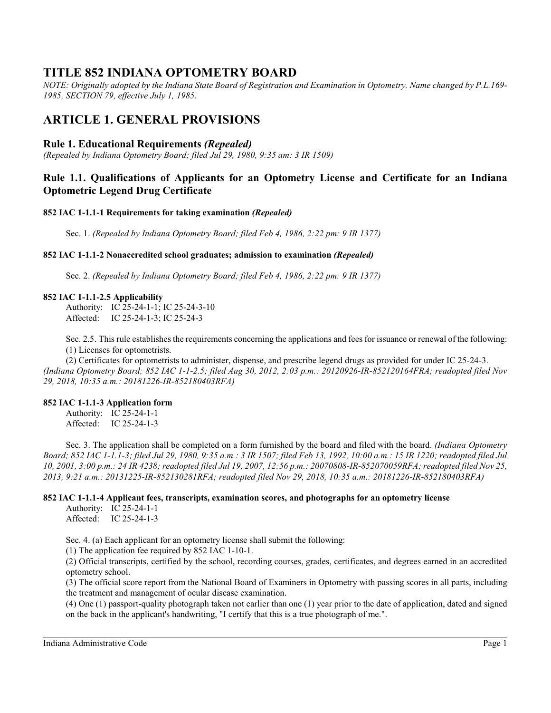# **TITLE 852 INDIANA OPTOMETRY BOARD**

*NOTE: Originally adopted by the Indiana State Board of Registration and Examination in Optometry. Name changed by P.L.169- 1985, SECTION 79, effective July 1, 1985.*

# **ARTICLE 1. GENERAL PROVISIONS**

## **Rule 1. Educational Requirements** *(Repealed)*

*(Repealed by Indiana Optometry Board; filed Jul 29, 1980, 9:35 am: 3 IR 1509)*

# **Rule 1.1. Qualifications of Applicants for an Optometry License and Certificate for an Indiana Optometric Legend Drug Certificate**

### **852 IAC 1-1.1-1 Requirements for taking examination** *(Repealed)*

Sec. 1. *(Repealed by Indiana Optometry Board; filed Feb 4, 1986, 2:22 pm: 9 IR 1377)*

### **852 IAC 1-1.1-2 Nonaccredited school graduates; admission to examination** *(Repealed)*

Sec. 2. *(Repealed by Indiana Optometry Board; filed Feb 4, 1986, 2:22 pm: 9 IR 1377)*

### **852 IAC 1-1.1-2.5 Applicability**

Authority: IC 25-24-1-1; IC 25-24-3-10 Affected: IC 25-24-1-3; IC 25-24-3

Sec. 2.5. This rule establishes the requirements concerning the applications and fees for issuance or renewal of the following: (1) Licenses for optometrists.

(2) Certificates for optometrists to administer, dispense, and prescribe legend drugs as provided for under IC 25-24-3. *(Indiana Optometry Board; 852 IAC 1-1-2.5; filed Aug 30, 2012, 2:03 p.m.: 20120926-IR-852120164FRA; readopted filed Nov 29, 2018, 10:35 a.m.: 20181226-IR-852180403RFA)*

### **852 IAC 1-1.1-3 Application form**

Authority: IC 25-24-1-1 Affected: IC 25-24-1-3

Sec. 3. The application shall be completed on a form furnished by the board and filed with the board. *(Indiana Optometry Board; 852 IAC 1-1.1-3; filed Jul 29, 1980, 9:35 a.m.: 3 IR 1507; filed Feb 13, 1992, 10:00 a.m.: 15 IR 1220; readopted filed Jul 10, 2001, 3:00 p.m.: 24 IR 4238; readopted filed Jul 19, 2007, 12:56 p.m.: 20070808-IR-852070059RFA; readopted filed Nov 25, 2013, 9:21 a.m.: 20131225-IR-852130281RFA; readopted filed Nov 29, 2018, 10:35 a.m.: 20181226-IR-852180403RFA)*

### **852 IAC 1-1.1-4 Applicant fees, transcripts, examination scores, and photographs for an optometry license**

Authority: IC 25-24-1-1 Affected: IC 25-24-1-3

Sec. 4. (a) Each applicant for an optometry license shall submit the following:

(1) The application fee required by 852 IAC 1-10-1.

(2) Official transcripts, certified by the school, recording courses, grades, certificates, and degrees earned in an accredited optometry school.

(3) The official score report from the National Board of Examiners in Optometry with passing scores in all parts, including the treatment and management of ocular disease examination.

(4) One (1) passport-quality photograph taken not earlier than one (1) year prior to the date of application, dated and signed on the back in the applicant's handwriting, "I certify that this is a true photograph of me.".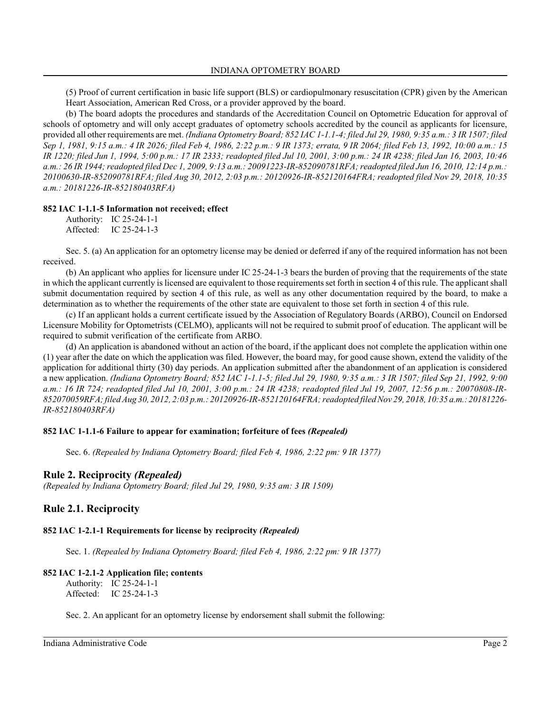(5) Proof of current certification in basic life support (BLS) or cardiopulmonary resuscitation (CPR) given by the American Heart Association, American Red Cross, or a provider approved by the board.

(b) The board adopts the procedures and standards of the Accreditation Council on Optometric Education for approval of schools of optometry and will only accept graduates of optometry schools accredited by the council as applicants for licensure, provided all other requirements are met. *(Indiana Optometry Board; 852 IAC 1-1.1-4; filed Jul 29, 1980, 9:35 a.m.: 3 IR 1507; filed Sep 1, 1981, 9:15 a.m.: 4 IR 2026; filed Feb 4, 1986, 2:22 p.m.: 9 IR 1373; errata, 9 IR 2064; filed Feb 13, 1992, 10:00 a.m.: 15 IR 1220; filed Jun 1, 1994, 5:00 p.m.: 17 IR 2333; readopted filed Jul 10, 2001, 3:00 p.m.: 24 IR 4238; filed Jan 16, 2003, 10:46 a.m.: 26 IR 1944; readopted filed Dec 1, 2009, 9:13 a.m.: 20091223-IR-852090781RFA; readopted filed Jun 16, 2010, 12:14 p.m.: 20100630-IR-852090781RFA; filed Aug 30, 2012, 2:03 p.m.: 20120926-IR-852120164FRA; readopted filed Nov 29, 2018, 10:35 a.m.: 20181226-IR-852180403RFA)*

#### **852 IAC 1-1.1-5 Information not received; effect**

Authority: IC 25-24-1-1 Affected: IC 25-24-1-3

Sec. 5. (a) An application for an optometry license may be denied or deferred if any of the required information has not been received.

(b) An applicant who applies for licensure under IC 25-24-1-3 bears the burden of proving that the requirements of the state in which the applicant currently is licensed are equivalent to those requirements set forth in section 4 of thisrule. The applicant shall submit documentation required by section 4 of this rule, as well as any other documentation required by the board, to make a determination as to whether the requirements of the other state are equivalent to those set forth in section 4 of this rule.

(c) If an applicant holds a current certificate issued by the Association of Regulatory Boards (ARBO), Council on Endorsed Licensure Mobility for Optometrists (CELMO), applicants will not be required to submit proof of education. The applicant will be required to submit verification of the certificate from ARBO.

(d) An application is abandoned without an action of the board, if the applicant does not complete the application within one (1) year after the date on which the application was filed. However, the board may, for good cause shown, extend the validity of the application for additional thirty (30) day periods. An application submitted after the abandonment of an application is considered a new application. *(Indiana Optometry Board; 852 IAC 1-1.1-5; filed Jul 29, 1980, 9:35 a.m.: 3 IR 1507; filed Sep 21, 1992, 9:00 a.m.: 16 IR 724; readopted filed Jul 10, 2001, 3:00 p.m.: 24 IR 4238; readopted filed Jul 19, 2007, 12:56 p.m.: 20070808-IR-852070059RFA; filed Aug 30, 2012, 2:03 p.m.: 20120926-IR-852120164FRA; readopted filed Nov 29, 2018, 10:35 a.m.: 20181226- IR-852180403RFA)*

### **852 IAC 1-1.1-6 Failure to appear for examination; forfeiture of fees** *(Repealed)*

Sec. 6. *(Repealed by Indiana Optometry Board; filed Feb 4, 1986, 2:22 pm: 9 IR 1377)*

### **Rule 2. Reciprocity** *(Repealed)*

*(Repealed by Indiana Optometry Board; filed Jul 29, 1980, 9:35 am: 3 IR 1509)*

### **Rule 2.1. Reciprocity**

### **852 IAC 1-2.1-1 Requirements for license by reciprocity** *(Repealed)*

Sec. 1. *(Repealed by Indiana Optometry Board; filed Feb 4, 1986, 2:22 pm: 9 IR 1377)*

### **852 IAC 1-2.1-2 Application file; contents**

Authority: IC 25-24-1-1 Affected: IC 25-24-1-3

Sec. 2. An applicant for an optometry license by endorsement shall submit the following: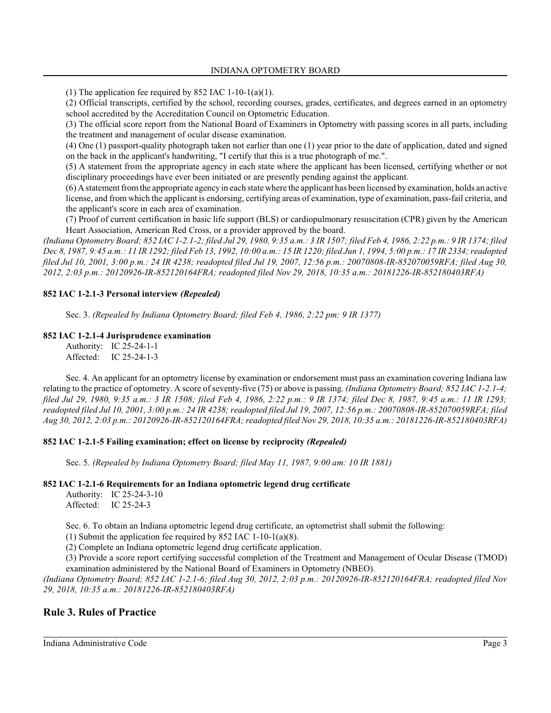(1) The application fee required by 852 IAC 1-10-1(a)(1).

(2) Official transcripts, certified by the school, recording courses, grades, certificates, and degrees earned in an optometry school accredited by the Accreditation Council on Optometric Education.

(3) The official score report from the National Board of Examiners in Optometry with passing scores in all parts, including the treatment and management of ocular disease examination.

(4) One (1) passport-quality photograph taken not earlier than one (1) year prior to the date of application, dated and signed on the back in the applicant's handwriting, "I certify that this is a true photograph of me.".

(5) A statement from the appropriate agency in each state where the applicant has been licensed, certifying whether or not disciplinary proceedings have ever been initiated or are presently pending against the applicant.

(6) A statement fromthe appropriate agency in each state where the applicant has been licensed by examination, holds an active license, and from which the applicant is endorsing, certifying areas of examination, type of examination, pass-fail criteria, and the applicant's score in each area of examination.

(7) Proof of current certification in basic life support (BLS) or cardiopulmonary resuscitation (CPR) given by the American Heart Association, American Red Cross, or a provider approved by the board.

*(Indiana Optometry Board; 852 IAC 1-2.1-2; filed Jul 29, 1980, 9:35 a.m.: 3 IR 1507; filed Feb 4, 1986, 2:22 p.m.: 9 IR 1374; filed Dec 8, 1987, 9:45 a.m.: 11 IR 1292; filed Feb 13, 1992, 10:00 a.m.: 15 IR 1220; filed Jun 1, 1994, 5:00 p.m.: 17 IR 2334; readopted filed Jul 10, 2001, 3:00 p.m.: 24 IR 4238; readopted filed Jul 19, 2007, 12:56 p.m.: 20070808-IR-852070059RFA; filed Aug 30, 2012, 2:03 p.m.: 20120926-IR-852120164FRA; readopted filed Nov 29, 2018, 10:35 a.m.: 20181226-IR-852180403RFA)*

### **852 IAC 1-2.1-3 Personal interview** *(Repealed)*

Sec. 3. *(Repealed by Indiana Optometry Board; filed Feb 4, 1986, 2:22 pm: 9 IR 1377)*

### **852 IAC 1-2.1-4 Jurisprudence examination**

Authority: IC 25-24-1-1 Affected: IC 25-24-1-3

Sec. 4. An applicant for an optometry license by examination or endorsement must pass an examination covering Indiana law relating to the practice of optometry. A score of seventy-five (75) or above is passing. *(Indiana Optometry Board; 852 IAC 1-2.1-4; filed Jul 29, 1980, 9:35 a.m.: 3 IR 1508; filed Feb 4, 1986, 2:22 p.m.: 9 IR 1374; filed Dec 8, 1987, 9:45 a.m.: 11 IR 1293; readopted filed Jul 10, 2001, 3:00 p.m.: 24 IR 4238; readopted filed Jul 19, 2007, 12:56 p.m.: 20070808-IR-852070059RFA; filed Aug 30, 2012, 2:03 p.m.: 20120926-IR-852120164FRA; readopted filed Nov 29, 2018, 10:35 a.m.: 20181226-IR-852180403RFA)*

#### **852 IAC 1-2.1-5 Failing examination; effect on license by reciprocity** *(Repealed)*

Sec. 5. *(Repealed by Indiana Optometry Board; filed May 11, 1987, 9:00 am: 10 IR 1881)*

#### **852 IAC 1-2.1-6 Requirements for an Indiana optometric legend drug certificate**

Authority: IC 25-24-3-10 Affected: IC 25-24-3

Sec. 6. To obtain an Indiana optometric legend drug certificate, an optometrist shall submit the following:

(1) Submit the application fee required by 852 IAC 1-10-1(a)(8).

(2) Complete an Indiana optometric legend drug certificate application.

(3) Provide a score report certifying successful completion of the Treatment and Management of Ocular Disease (TMOD) examination administered by the National Board of Examiners in Optometry (NBEO).

*(Indiana Optometry Board; 852 IAC 1-2.1-6; filed Aug 30, 2012, 2:03 p.m.: 20120926-IR-852120164FRA; readopted filed Nov 29, 2018, 10:35 a.m.: 20181226-IR-852180403RFA)*

### **Rule 3. Rules of Practice**

Indiana Administrative Code Page 3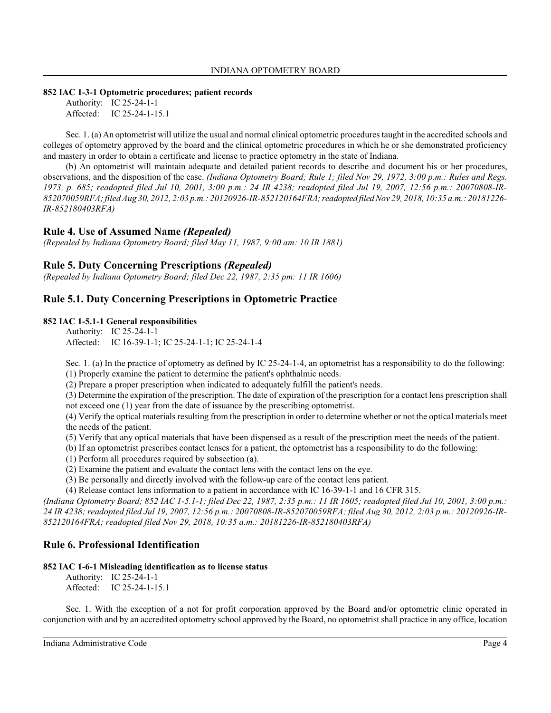#### **852 IAC 1-3-1 Optometric procedures; patient records**

Authority: IC 25-24-1-1 Affected: IC 25-24-1-15.1

Sec. 1. (a) An optometrist will utilize the usual and normal clinical optometric procedures taught in the accredited schools and colleges of optometry approved by the board and the clinical optometric procedures in which he or she demonstrated proficiency and mastery in order to obtain a certificate and license to practice optometry in the state of Indiana.

(b) An optometrist will maintain adequate and detailed patient records to describe and document his or her procedures, observations, and the disposition of the case. *(Indiana Optometry Board; Rule 1; filed Nov 29, 1972, 3:00 p.m.: Rules and Regs. 1973, p. 685; readopted filed Jul 10, 2001, 3:00 p.m.: 24 IR 4238; readopted filed Jul 19, 2007, 12:56 p.m.: 20070808-IR-852070059RFA; filed Aug 30, 2012, 2:03 p.m.: 20120926-IR-852120164FRA;readopted filed Nov 29, 2018, 10:35 a.m.: 20181226- IR-852180403RFA)*

### **Rule 4. Use of Assumed Name** *(Repealed)*

*(Repealed by Indiana Optometry Board; filed May 11, 1987, 9:00 am: 10 IR 1881)*

### **Rule 5. Duty Concerning Prescriptions** *(Repealed)*

*(Repealed by Indiana Optometry Board; filed Dec 22, 1987, 2:35 pm: 11 IR 1606)*

# **Rule 5.1. Duty Concerning Prescriptions in Optometric Practice**

#### **852 IAC 1-5.1-1 General responsibilities**

Authority: IC 25-24-1-1 Affected: IC 16-39-1-1; IC 25-24-1-1; IC 25-24-1-4

Sec. 1. (a) In the practice of optometry as defined by IC 25-24-1-4, an optometrist has a responsibility to do the following: (1) Properly examine the patient to determine the patient's ophthalmic needs.

(2) Prepare a proper prescription when indicated to adequately fulfill the patient's needs.

(3) Determine the expiration of the prescription. The date of expiration of the prescription for a contact lens prescription shall not exceed one (1) year from the date of issuance by the prescribing optometrist.

(4) Verify the optical materials resulting from the prescription in order to determine whether or not the optical materials meet the needs of the patient.

(5) Verify that any optical materials that have been dispensed as a result of the prescription meet the needs of the patient.

(b) If an optometrist prescribes contact lenses for a patient, the optometrist has a responsibility to do the following:

(1) Perform all procedures required by subsection (a).

(2) Examine the patient and evaluate the contact lens with the contact lens on the eye.

(3) Be personally and directly involved with the follow-up care of the contact lens patient.

(4) Release contact lens information to a patient in accordance with IC 16-39-1-1 and 16 CFR 315.

*(Indiana Optometry Board; 852 IAC 1-5.1-1; filed Dec 22, 1987, 2:35 p.m.: 11 IR 1605; readopted filed Jul 10, 2001, 3:00 p.m.: 24 IR 4238; readopted filed Jul 19, 2007, 12:56 p.m.: 20070808-IR-852070059RFA; filed Aug 30, 2012, 2:03 p.m.: 20120926-IR-852120164FRA; readopted filed Nov 29, 2018, 10:35 a.m.: 20181226-IR-852180403RFA)*

### **Rule 6. Professional Identification**

### **852 IAC 1-6-1 Misleading identification as to license status**

Authority: IC 25-24-1-1 Affected: IC 25-24-1-15.1

Sec. 1. With the exception of a not for profit corporation approved by the Board and/or optometric clinic operated in conjunction with and by an accredited optometry school approved by the Board, no optometrist shall practice in any office, location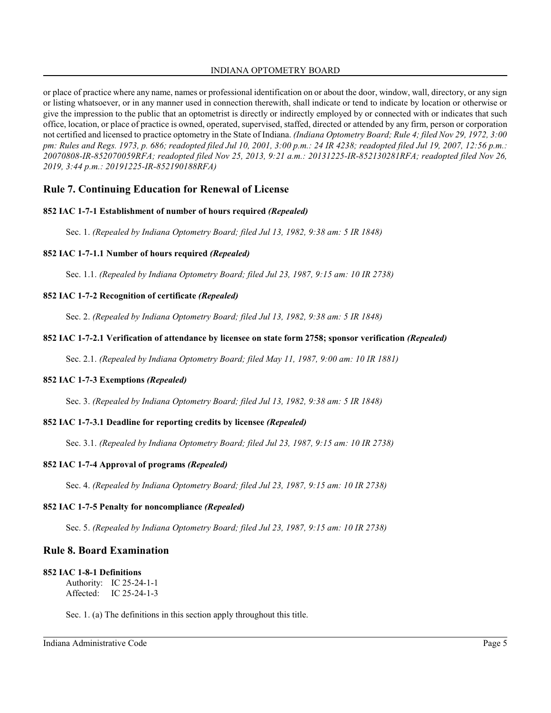or place of practice where any name, names or professional identification on or about the door, window, wall, directory, or any sign or listing whatsoever, or in any manner used in connection therewith, shall indicate or tend to indicate by location or otherwise or give the impression to the public that an optometrist is directly or indirectly employed by or connected with or indicates that such office, location, or place of practice is owned, operated, supervised, staffed, directed or attended by any firm, person or corporation not certified and licensed to practice optometry in the State of Indiana. *(Indiana Optometry Board; Rule 4; filed Nov 29, 1972, 3:00 pm: Rules and Regs. 1973, p. 686; readopted filed Jul 10, 2001, 3:00 p.m.: 24 IR 4238; readopted filed Jul 19, 2007, 12:56 p.m.: 20070808-IR-852070059RFA; readopted filed Nov 25, 2013, 9:21 a.m.: 20131225-IR-852130281RFA; readopted filed Nov 26, 2019, 3:44 p.m.: 20191225-IR-852190188RFA)*

# **Rule 7. Continuing Education for Renewal of License**

### **852 IAC 1-7-1 Establishment of number of hours required** *(Repealed)*

Sec. 1. *(Repealed by Indiana Optometry Board; filed Jul 13, 1982, 9:38 am: 5 IR 1848)*

#### **852 IAC 1-7-1.1 Number of hours required** *(Repealed)*

Sec. 1.1. *(Repealed by Indiana Optometry Board; filed Jul 23, 1987, 9:15 am: 10 IR 2738)*

#### **852 IAC 1-7-2 Recognition of certificate** *(Repealed)*

Sec. 2. *(Repealed by Indiana Optometry Board; filed Jul 13, 1982, 9:38 am: 5 IR 1848)*

#### **852 IAC 1-7-2.1 Verification of attendance by licensee on state form 2758; sponsor verification** *(Repealed)*

Sec. 2.1. *(Repealed by Indiana Optometry Board; filed May 11, 1987, 9:00 am: 10 IR 1881)*

#### **852 IAC 1-7-3 Exemptions** *(Repealed)*

Sec. 3. *(Repealed by Indiana Optometry Board; filed Jul 13, 1982, 9:38 am: 5 IR 1848)*

#### **852 IAC 1-7-3.1 Deadline for reporting credits by licensee** *(Repealed)*

Sec. 3.1. *(Repealed by Indiana Optometry Board; filed Jul 23, 1987, 9:15 am: 10 IR 2738)*

#### **852 IAC 1-7-4 Approval of programs** *(Repealed)*

Sec. 4. *(Repealed by Indiana Optometry Board; filed Jul 23, 1987, 9:15 am: 10 IR 2738)*

#### **852 IAC 1-7-5 Penalty for noncompliance** *(Repealed)*

Sec. 5. *(Repealed by Indiana Optometry Board; filed Jul 23, 1987, 9:15 am: 10 IR 2738)*

### **Rule 8. Board Examination**

#### **852 IAC 1-8-1 Definitions**

Authority: IC 25-24-1-1 Affected: IC 25-24-1-3

Sec. 1. (a) The definitions in this section apply throughout this title.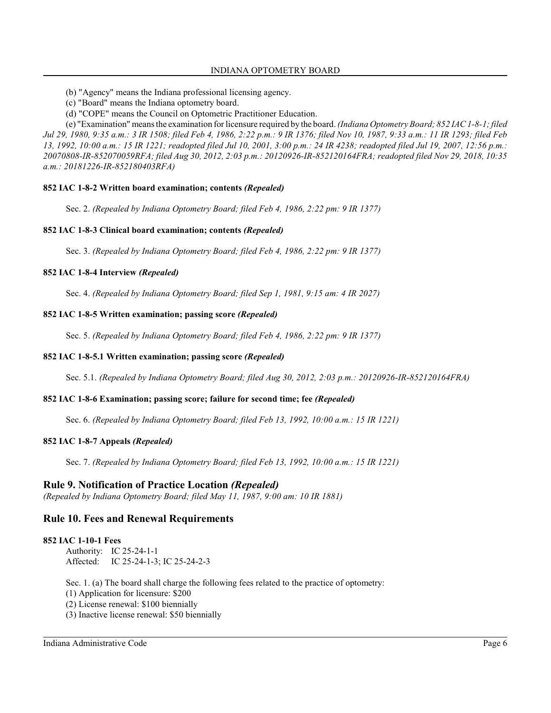(b) "Agency" means the Indiana professional licensing agency.

- (c) "Board" means the Indiana optometry board.
- (d) "COPE" means the Council on Optometric Practitioner Education.

(e) "Examination" means the examination for licensure required by the board. *(Indiana Optometry Board; 852 IAC 1-8-1; filed Jul 29, 1980, 9:35 a.m.: 3 IR 1508; filed Feb 4, 1986, 2:22 p.m.: 9 IR 1376; filed Nov 10, 1987, 9:33 a.m.: 11 IR 1293; filed Feb 13, 1992, 10:00 a.m.: 15 IR 1221; readopted filed Jul 10, 2001, 3:00 p.m.: 24 IR 4238; readopted filed Jul 19, 2007, 12:56 p.m.: 20070808-IR-852070059RFA; filed Aug 30, 2012, 2:03 p.m.: 20120926-IR-852120164FRA; readopted filed Nov 29, 2018, 10:35 a.m.: 20181226-IR-852180403RFA)*

### **852 IAC 1-8-2 Written board examination; contents** *(Repealed)*

Sec. 2. *(Repealed by Indiana Optometry Board; filed Feb 4, 1986, 2:22 pm: 9 IR 1377)*

### **852 IAC 1-8-3 Clinical board examination; contents** *(Repealed)*

Sec. 3. *(Repealed by Indiana Optometry Board; filed Feb 4, 1986, 2:22 pm: 9 IR 1377)*

### **852 IAC 1-8-4 Interview** *(Repealed)*

Sec. 4. *(Repealed by Indiana Optometry Board; filed Sep 1, 1981, 9:15 am: 4 IR 2027)*

### **852 IAC 1-8-5 Written examination; passing score** *(Repealed)*

Sec. 5. *(Repealed by Indiana Optometry Board; filed Feb 4, 1986, 2:22 pm: 9 IR 1377)*

### **852 IAC 1-8-5.1 Written examination; passing score** *(Repealed)*

Sec. 5.1. *(Repealed by Indiana Optometry Board; filed Aug 30, 2012, 2:03 p.m.: 20120926-IR-852120164FRA)*

### **852 IAC 1-8-6 Examination; passing score; failure for second time; fee** *(Repealed)*

Sec. 6. *(Repealed by Indiana Optometry Board; filed Feb 13, 1992, 10:00 a.m.: 15 IR 1221)*

### **852 IAC 1-8-7 Appeals** *(Repealed)*

Sec. 7. *(Repealed by Indiana Optometry Board; filed Feb 13, 1992, 10:00 a.m.: 15 IR 1221)*

### **Rule 9. Notification of Practice Location** *(Repealed)*

*(Repealed by Indiana Optometry Board; filed May 11, 1987, 9:00 am: 10 IR 1881)*

### **Rule 10. Fees and Renewal Requirements**

### **852 IAC 1-10-1 Fees**

Authority: IC 25-24-1-1 Affected: IC 25-24-1-3; IC 25-24-2-3

Sec. 1. (a) The board shall charge the following fees related to the practice of optometry:

(1) Application for licensure: \$200

(2) License renewal: \$100 biennially

(3) Inactive license renewal: \$50 biennially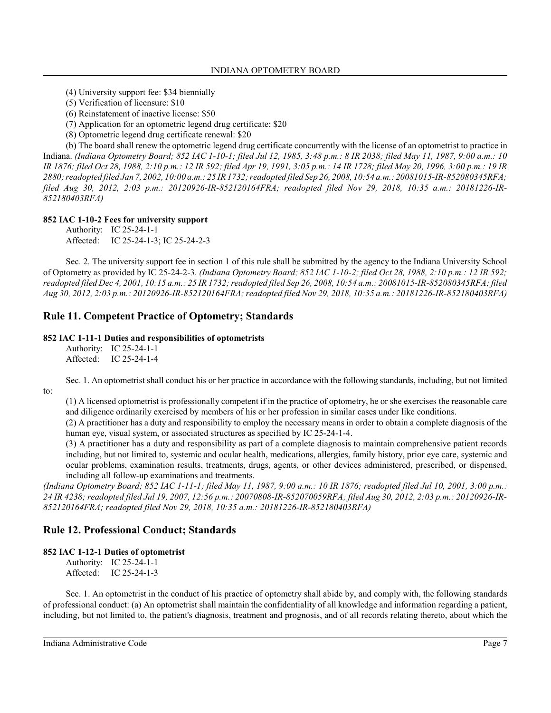(4) University support fee: \$34 biennially

(5) Verification of licensure: \$10

(6) Reinstatement of inactive license: \$50

(7) Application for an optometric legend drug certificate: \$20

(8) Optometric legend drug certificate renewal: \$20

(b) The board shall renew the optometric legend drug certificate concurrently with the license of an optometrist to practice in Indiana. *(Indiana Optometry Board; 852 IAC 1-10-1; filed Jul 12, 1985, 3:48 p.m.: 8 IR 2038; filed May 11, 1987, 9:00 a.m.: 10 IR 1876; filed Oct 28, 1988, 2:10 p.m.: 12 IR 592; filed Apr 19, 1991, 3:05 p.m.: 14 IR 1728; filed May 20, 1996, 3:00 p.m.: 19 IR 2880; readopted filed Jan 7, 2002, 10:00 a.m.: 25 IR 1732; readopted filed Sep 26, 2008, 10:54 a.m.: 20081015-IR-852080345RFA; filed Aug 30, 2012, 2:03 p.m.: 20120926-IR-852120164FRA; readopted filed Nov 29, 2018, 10:35 a.m.: 20181226-IR-852180403RFA)*

### **852 IAC 1-10-2 Fees for university support**

Authority: IC 25-24-1-1 Affected: IC 25-24-1-3; IC 25-24-2-3

Sec. 2. The university support fee in section 1 of this rule shall be submitted by the agency to the Indiana University School of Optometry as provided by IC 25-24-2-3. *(Indiana Optometry Board; 852 IAC 1-10-2; filed Oct 28, 1988, 2:10 p.m.: 12 IR 592; readopted filed Dec 4, 2001, 10:15 a.m.: 25 IR 1732; readopted filed Sep 26, 2008, 10:54 a.m.: 20081015-IR-852080345RFA; filed Aug 30, 2012, 2:03 p.m.: 20120926-IR-852120164FRA; readopted filed Nov 29, 2018, 10:35 a.m.: 20181226-IR-852180403RFA)*

# **Rule 11. Competent Practice of Optometry; Standards**

#### **852 IAC 1-11-1 Duties and responsibilities of optometrists**

Authority: IC 25-24-1-1 Affected: IC 25-24-1-4

to:

Sec. 1. An optometrist shall conduct his or her practice in accordance with the following standards, including, but not limited

(1) A licensed optometrist is professionally competent if in the practice of optometry, he or she exercises the reasonable care and diligence ordinarily exercised by members of his or her profession in similar cases under like conditions.

(2) A practitioner has a duty and responsibility to employ the necessary means in order to obtain a complete diagnosis of the human eye, visual system, or associated structures as specified by IC 25-24-1-4.

(3) A practitioner has a duty and responsibility as part of a complete diagnosis to maintain comprehensive patient records including, but not limited to, systemic and ocular health, medications, allergies, family history, prior eye care, systemic and ocular problems, examination results, treatments, drugs, agents, or other devices administered, prescribed, or dispensed, including all follow-up examinations and treatments.

*(Indiana Optometry Board; 852 IAC 1-11-1; filed May 11, 1987, 9:00 a.m.: 10 IR 1876; readopted filed Jul 10, 2001, 3:00 p.m.: 24 IR 4238; readopted filed Jul 19, 2007, 12:56 p.m.: 20070808-IR-852070059RFA; filed Aug 30, 2012, 2:03 p.m.: 20120926-IR-852120164FRA; readopted filed Nov 29, 2018, 10:35 a.m.: 20181226-IR-852180403RFA)*

# **Rule 12. Professional Conduct; Standards**

### **852 IAC 1-12-1 Duties of optometrist**

Authority: IC 25-24-1-1 Affected: IC 25-24-1-3

Sec. 1. An optometrist in the conduct of his practice of optometry shall abide by, and comply with, the following standards of professional conduct: (a) An optometrist shall maintain the confidentiality of all knowledge and information regarding a patient, including, but not limited to, the patient's diagnosis, treatment and prognosis, and of all records relating thereto, about which the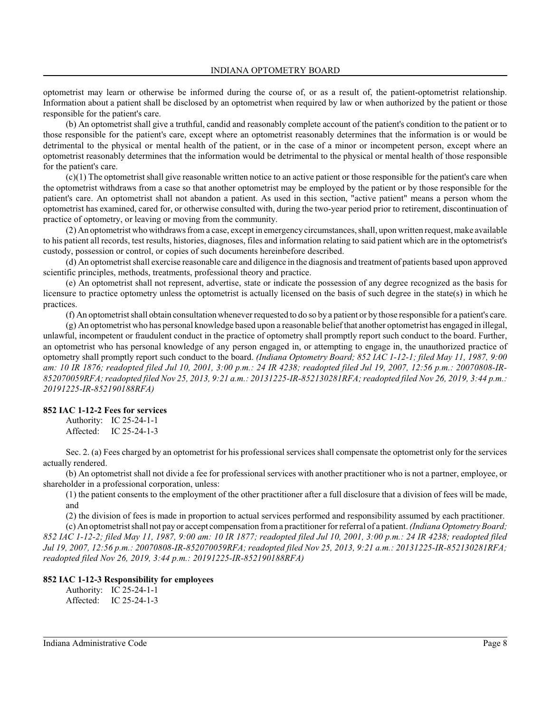optometrist may learn or otherwise be informed during the course of, or as a result of, the patient-optometrist relationship. Information about a patient shall be disclosed by an optometrist when required by law or when authorized by the patient or those responsible for the patient's care.

(b) An optometrist shall give a truthful, candid and reasonably complete account of the patient's condition to the patient or to those responsible for the patient's care, except where an optometrist reasonably determines that the information is or would be detrimental to the physical or mental health of the patient, or in the case of a minor or incompetent person, except where an optometrist reasonably determines that the information would be detrimental to the physical or mental health of those responsible for the patient's care.

(c)(1) The optometrist shall give reasonable written notice to an active patient or those responsible for the patient's care when the optometrist withdraws from a case so that another optometrist may be employed by the patient or by those responsible for the patient's care. An optometrist shall not abandon a patient. As used in this section, "active patient" means a person whom the optometrist has examined, cared for, or otherwise consulted with, during the two-year period prior to retirement, discontinuation of practice of optometry, or leaving or moving from the community.

(2) An optometrist who withdraws froma case, except in emergency circumstances, shall, upon written request, make available to his patient all records, test results, histories, diagnoses, files and information relating to said patient which are in the optometrist's custody, possession or control, or copies of such documents hereinbefore described.

(d) An optometrist shall exercise reasonable care and diligence in the diagnosis and treatment of patients based upon approved scientific principles, methods, treatments, professional theory and practice.

(e) An optometrist shall not represent, advertise, state or indicate the possession of any degree recognized as the basis for licensure to practice optometry unless the optometrist is actually licensed on the basis of such degree in the state(s) in which he practices.

(f) An optometrist shall obtain consultation whenever requested to do so by a patient or by those responsible for a patient's care.

(g) An optometrist who has personal knowledge based upon a reasonable belief that another optometrist has engaged in illegal, unlawful, incompetent or fraudulent conduct in the practice of optometry shall promptly report such conduct to the board. Further, an optometrist who has personal knowledge of any person engaged in, or attempting to engage in, the unauthorized practice of optometry shall promptly report such conduct to the board. *(Indiana Optometry Board; 852 IAC 1-12-1; filed May 11, 1987, 9:00 am: 10 IR 1876; readopted filed Jul 10, 2001, 3:00 p.m.: 24 IR 4238; readopted filed Jul 19, 2007, 12:56 p.m.: 20070808-IR-852070059RFA; readopted filed Nov 25, 2013, 9:21 a.m.: 20131225-IR-852130281RFA; readopted filed Nov 26, 2019, 3:44 p.m.: 20191225-IR-852190188RFA)*

#### **852 IAC 1-12-2 Fees for services**

Authority: IC 25-24-1-1 Affected: IC 25-24-1-3

Sec. 2. (a) Fees charged by an optometrist for his professional services shall compensate the optometrist only for the services actually rendered.

(b) An optometrist shall not divide a fee for professional services with another practitioner who is not a partner, employee, or shareholder in a professional corporation, unless:

(1) the patient consents to the employment of the other practitioner after a full disclosure that a division of fees will be made, and

(2) the division of fees is made in proportion to actual services performed and responsibility assumed by each practitioner.

(c) An optometrist shall not pay or accept compensation froma practitioner for referral of a patient. *(Indiana Optometry Board; 852 IAC 1-12-2; filed May 11, 1987, 9:00 am: 10 IR 1877; readopted filed Jul 10, 2001, 3:00 p.m.: 24 IR 4238; readopted filed Jul 19, 2007, 12:56 p.m.: 20070808-IR-852070059RFA; readopted filed Nov 25, 2013, 9:21 a.m.: 20131225-IR-852130281RFA; readopted filed Nov 26, 2019, 3:44 p.m.: 20191225-IR-852190188RFA)*

### **852 IAC 1-12-3 Responsibility for employees**

Authority: IC 25-24-1-1 Affected: IC 25-24-1-3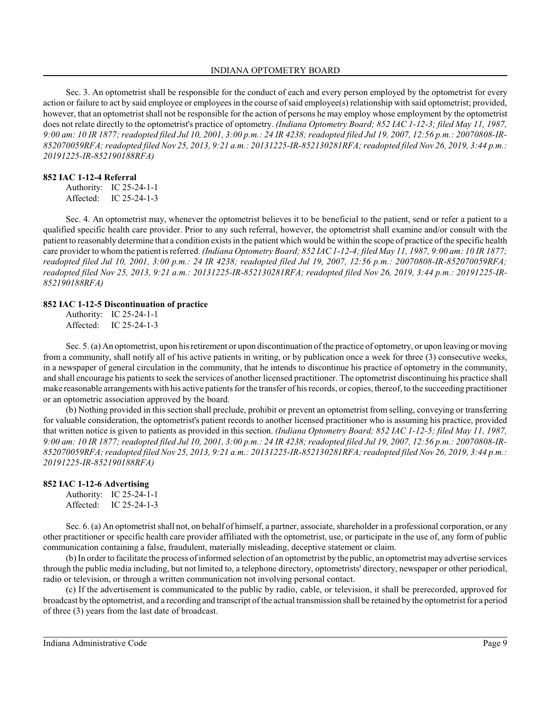Sec. 3. An optometrist shall be responsible for the conduct of each and every person employed by the optometrist for every action or failure to act by said employee or employees in the course of said employee(s) relationship with said optometrist; provided, however, that an optometrist shall not be responsible for the action of persons he may employ whose employment by the optometrist does not relate directly to the optometrist's practice of optometry. *(Indiana Optometry Board; 852 IAC 1-12-3; filed May 11, 1987, 9:00 am: 10 IR 1877; readopted filed Jul 10, 2001, 3:00 p.m.: 24 IR 4238; readopted filed Jul 19, 2007, 12:56 p.m.: 20070808-IR-852070059RFA; readopted filed Nov 25, 2013, 9:21 a.m.: 20131225-IR-852130281RFA; readopted filed Nov 26, 2019, 3:44 p.m.: 20191225-IR-852190188RFA)*

#### **852 IAC 1-12-4 Referral**

Authority: IC 25-24-1-1 Affected: IC 25-24-1-3

Sec. 4. An optometrist may, whenever the optometrist believes it to be beneficial to the patient, send or refer a patient to a qualified specific health care provider. Prior to any such referral, however, the optometrist shall examine and/or consult with the patient to reasonably determine that a condition existsin the patient which would be within the scope of practice of the specific health care provider to whomthe patient is referred. *(Indiana Optometry Board; 852 IAC 1-12-4; filed May 11, 1987, 9:00 am: 10 IR 1877; readopted filed Jul 10, 2001, 3:00 p.m.: 24 IR 4238; readopted filed Jul 19, 2007, 12:56 p.m.: 20070808-IR-852070059RFA; readopted filed Nov 25, 2013, 9:21 a.m.: 20131225-IR-852130281RFA; readopted filed Nov 26, 2019, 3:44 p.m.: 20191225-IR-852190188RFA)*

#### **852 IAC 1-12-5 Discontinuation of practice**

Authority: IC 25-24-1-1 Affected: IC 25-24-1-3

Sec. 5. (a) An optometrist, upon hisretirement or upon discontinuation of the practice of optometry, or upon leaving or moving from a community, shall notify all of his active patients in writing, or by publication once a week for three (3) consecutive weeks, in a newspaper of general circulation in the community, that he intends to discontinue his practice of optometry in the community, and shall encourage his patients to seek the services of another licensed practitioner. The optometrist discontinuing his practice shall make reasonable arrangements with his active patients for the transfer of hisrecords, or copies, thereof, to the succeeding practitioner or an optometric association approved by the board.

(b) Nothing provided in this section shall preclude, prohibit or prevent an optometrist from selling, conveying or transferring for valuable consideration, the optometrist's patient records to another licensed practitioner who is assuming his practice, provided that written notice is given to patients as provided in this section. *(Indiana Optometry Board; 852 IAC 1-12-5; filed May 11, 1987, 9:00 am: 10 IR 1877; readopted filed Jul 10, 2001, 3:00 p.m.: 24 IR 4238; readopted filed Jul 19, 2007, 12:56 p.m.: 20070808-IR-852070059RFA; readopted filed Nov 25, 2013, 9:21 a.m.: 20131225-IR-852130281RFA; readopted filed Nov 26, 2019, 3:44 p.m.: 20191225-IR-852190188RFA)*

#### **852 IAC 1-12-6 Advertising**

| Authority: | IC $25-24-1-1$ |
|------------|----------------|
| Affected:  | IC $25-24-1-3$ |

Sec. 6. (a) An optometrist shall not, on behalf of himself, a partner, associate, shareholder in a professional corporation, or any other practitioner or specific health care provider affiliated with the optometrist, use, or participate in the use of, any form of public communication containing a false, fraudulent, materially misleading, deceptive statement or claim.

(b) In order to facilitate the process of informed selection of an optometrist by the public, an optometrist may advertise services through the public media including, but not limited to, a telephone directory, optometrists' directory, newspaper or other periodical, radio or television, or through a written communication not involving personal contact.

(c) If the advertisement is communicated to the public by radio, cable, or television, it shall be prerecorded, approved for broadcast by the optometrist, and a recording and transcript of the actual transmission shall be retained by the optometrist for a period of three (3) years from the last date of broadcast.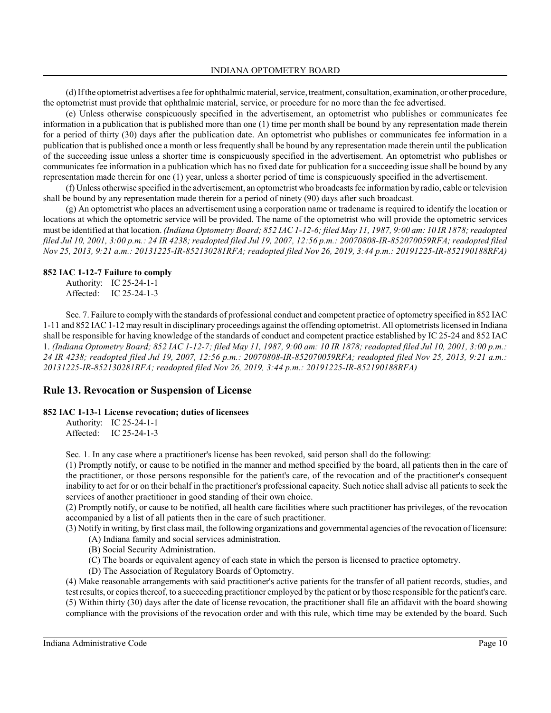(d) If the optometrist advertises a fee for ophthalmic material, service, treatment, consultation, examination, or other procedure, the optometrist must provide that ophthalmic material, service, or procedure for no more than the fee advertised.

(e) Unless otherwise conspicuously specified in the advertisement, an optometrist who publishes or communicates fee information in a publication that is published more than one (1) time per month shall be bound by any representation made therein for a period of thirty (30) days after the publication date. An optometrist who publishes or communicates fee information in a publication that is published once a month or less frequently shall be bound by any representation made therein until the publication of the succeeding issue unless a shorter time is conspicuously specified in the advertisement. An optometrist who publishes or communicates fee information in a publication which has no fixed date for publication for a succeeding issue shall be bound by any representation made therein for one (1) year, unless a shorter period of time is conspicuously specified in the advertisement.

(f) Unless otherwise specified in the advertisement, an optometrist who broadcasts fee information by radio, cable or television shall be bound by any representation made therein for a period of ninety (90) days after such broadcast.

(g) An optometrist who places an advertisement using a corporation name or tradename is required to identify the location or locations at which the optometric service will be provided. The name of the optometrist who will provide the optometric services must be identified at that location. *(Indiana Optometry Board; 852 IAC 1-12-6; filed May 11, 1987, 9:00 am: 10 IR 1878; readopted filed Jul 10, 2001, 3:00 p.m.: 24 IR 4238; readopted filed Jul 19, 2007, 12:56 p.m.: 20070808-IR-852070059RFA; readopted filed Nov 25, 2013, 9:21 a.m.: 20131225-IR-852130281RFA; readopted filed Nov 26, 2019, 3:44 p.m.: 20191225-IR-852190188RFA)*

#### **852 IAC 1-12-7 Failure to comply**

Authority: IC 25-24-1-1 Affected: IC 25-24-1-3

Sec. 7. Failure to comply with the standards of professional conduct and competent practice of optometry specified in 852 IAC 1-11 and 852 IAC 1-12 may result in disciplinary proceedings against the offending optometrist. All optometrists licensed in Indiana shall be responsible for having knowledge of the standards of conduct and competent practice established by IC 25-24 and 852 IAC 1. *(Indiana Optometry Board; 852 IAC 1-12-7; filed May 11, 1987, 9:00 am: 10 IR 1878; readopted filed Jul 10, 2001, 3:00 p.m.: 24 IR 4238; readopted filed Jul 19, 2007, 12:56 p.m.: 20070808-IR-852070059RFA; readopted filed Nov 25, 2013, 9:21 a.m.: 20131225-IR-852130281RFA; readopted filed Nov 26, 2019, 3:44 p.m.: 20191225-IR-852190188RFA)*

### **Rule 13. Revocation or Suspension of License**

### **852 IAC 1-13-1 License revocation; duties of licensees**

Authority: IC 25-24-1-1 Affected: IC 25-24-1-3

Sec. 1. In any case where a practitioner's license has been revoked, said person shall do the following:

(1) Promptly notify, or cause to be notified in the manner and method specified by the board, all patients then in the care of the practitioner, or those persons responsible for the patient's care, of the revocation and of the practitioner's consequent inability to act for or on their behalf in the practitioner's professional capacity. Such notice shall advise all patients to seek the services of another practitioner in good standing of their own choice.

(2) Promptly notify, or cause to be notified, all health care facilities where such practitioner has privileges, of the revocation accompanied by a list of all patients then in the care of such practitioner.

(3) Notify in writing, by first class mail, the following organizations and governmental agencies of the revocation of licensure:

- (A) Indiana family and social services administration.
- (B) Social Security Administration.
- (C) The boards or equivalent agency of each state in which the person is licensed to practice optometry.
- (D) The Association of Regulatory Boards of Optometry.

(4) Make reasonable arrangements with said practitioner's active patients for the transfer of all patient records, studies, and test results, or copies thereof, to a succeeding practitioner employed by the patient or by those responsible for the patient's care. (5) Within thirty (30) days after the date of license revocation, the practitioner shall file an affidavit with the board showing compliance with the provisions of the revocation order and with this rule, which time may be extended by the board. Such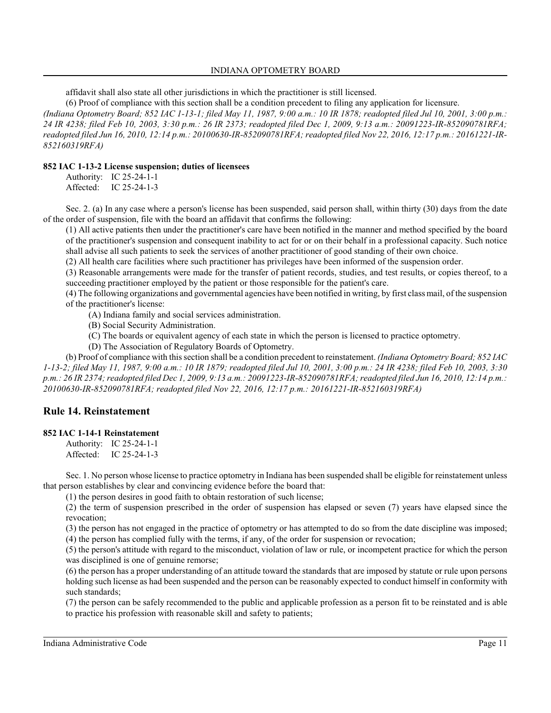affidavit shall also state all other jurisdictions in which the practitioner is still licensed.

(6) Proof of compliance with this section shall be a condition precedent to filing any application for licensure.

*(Indiana Optometry Board; 852 IAC 1-13-1; filed May 11, 1987, 9:00 a.m.: 10 IR 1878; readopted filed Jul 10, 2001, 3:00 p.m.: 24 IR 4238; filed Feb 10, 2003, 3:30 p.m.: 26 IR 2373; readopted filed Dec 1, 2009, 9:13 a.m.: 20091223-IR-852090781RFA; readopted filed Jun 16, 2010, 12:14 p.m.: 20100630-IR-852090781RFA; readopted filed Nov 22, 2016, 12:17 p.m.: 20161221-IR-852160319RFA)*

### **852 IAC 1-13-2 License suspension; duties of licensees**

| Authority: | IC 25-24-1-1 |
|------------|--------------|
| Affected:  | IC 25-24-1-3 |

Sec. 2. (a) In any case where a person's license has been suspended, said person shall, within thirty (30) days from the date of the order of suspension, file with the board an affidavit that confirms the following:

(1) All active patients then under the practitioner's care have been notified in the manner and method specified by the board of the practitioner's suspension and consequent inability to act for or on their behalf in a professional capacity. Such notice shall advise all such patients to seek the services of another practitioner of good standing of their own choice.

(2) All health care facilities where such practitioner has privileges have been informed of the suspension order.

(3) Reasonable arrangements were made for the transfer of patient records, studies, and test results, or copies thereof, to a succeeding practitioner employed by the patient or those responsible for the patient's care.

(4) The following organizations and governmental agencies have been notified in writing, by first class mail, of the suspension of the practitioner's license:

(A) Indiana family and social services administration.

- (B) Social Security Administration.
- (C) The boards or equivalent agency of each state in which the person is licensed to practice optometry.
- (D) The Association of Regulatory Boards of Optometry.

(b) Proof of compliance with thissection shall be a condition precedent to reinstatement. *(Indiana Optometry Board; 852 IAC 1-13-2; filed May 11, 1987, 9:00 a.m.: 10 IR 1879; readopted filed Jul 10, 2001, 3:00 p.m.: 24 IR 4238; filed Feb 10, 2003, 3:30 p.m.: 26 IR 2374; readopted filed Dec 1, 2009, 9:13 a.m.: 20091223-IR-852090781RFA; readopted filed Jun 16, 2010, 12:14 p.m.: 20100630-IR-852090781RFA; readopted filed Nov 22, 2016, 12:17 p.m.: 20161221-IR-852160319RFA)*

# **Rule 14. Reinstatement**

### **852 IAC 1-14-1 Reinstatement**

Authority: IC 25-24-1-1 Affected: IC 25-24-1-3

Sec. 1. No person whose license to practice optometry in Indiana has been suspended shall be eligible for reinstatement unless that person establishes by clear and convincing evidence before the board that:

(1) the person desires in good faith to obtain restoration of such license;

(2) the term of suspension prescribed in the order of suspension has elapsed or seven (7) years have elapsed since the revocation;

(3) the person has not engaged in the practice of optometry or has attempted to do so from the date discipline was imposed;

(4) the person has complied fully with the terms, if any, of the order for suspension or revocation;

(5) the person's attitude with regard to the misconduct, violation of law or rule, or incompetent practice for which the person was disciplined is one of genuine remorse;

(6) the person has a proper understanding of an attitude toward the standards that are imposed by statute or rule upon persons holding such license as had been suspended and the person can be reasonably expected to conduct himself in conformity with such standards;

(7) the person can be safely recommended to the public and applicable profession as a person fit to be reinstated and is able to practice his profession with reasonable skill and safety to patients;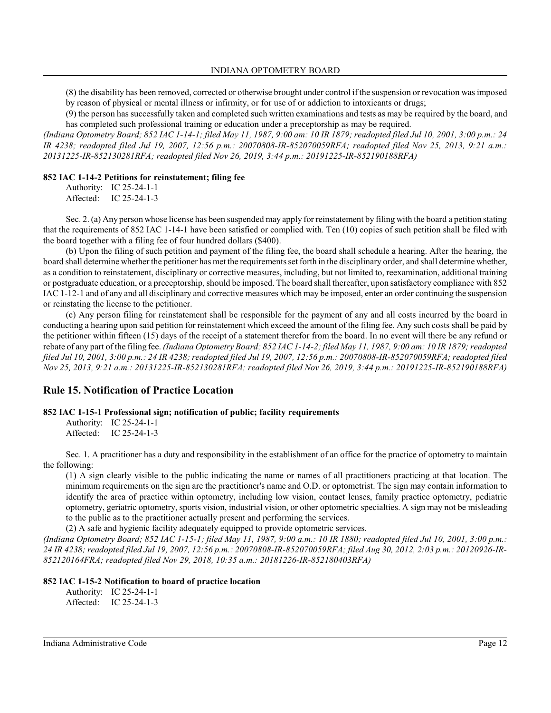(8) the disability has been removed, corrected or otherwise brought under control if the suspension or revocation was imposed by reason of physical or mental illness or infirmity, or for use of or addiction to intoxicants or drugs;

(9) the person has successfully taken and completed such written examinations and tests as may be required by the board, and has completed such professional training or education under a preceptorship as may be required.

*(Indiana Optometry Board; 852 IAC 1-14-1; filed May 11, 1987, 9:00 am: 10 IR 1879; readopted filed Jul 10, 2001, 3:00 p.m.: 24 IR 4238; readopted filed Jul 19, 2007, 12:56 p.m.: 20070808-IR-852070059RFA; readopted filed Nov 25, 2013, 9:21 a.m.: 20131225-IR-852130281RFA; readopted filed Nov 26, 2019, 3:44 p.m.: 20191225-IR-852190188RFA)*

#### **852 IAC 1-14-2 Petitions for reinstatement; filing fee**

Authority: IC 25-24-1-1 Affected: IC 25-24-1-3

Sec. 2. (a) Any person whose license has been suspended may apply for reinstatement by filing with the board a petition stating that the requirements of 852 IAC 1-14-1 have been satisfied or complied with. Ten (10) copies of such petition shall be filed with the board together with a filing fee of four hundred dollars (\$400).

(b) Upon the filing of such petition and payment of the filing fee, the board shall schedule a hearing. After the hearing, the board shall determine whether the petitioner has met the requirements set forth in the disciplinary order, and shall determine whether, as a condition to reinstatement, disciplinary or corrective measures, including, but not limited to, reexamination, additional training or postgraduate education, or a preceptorship, should be imposed. The board shall thereafter, upon satisfactory compliance with 852 IAC 1-12-1 and of any and all disciplinary and corrective measures which may be imposed, enter an order continuing the suspension or reinstating the license to the petitioner.

(c) Any person filing for reinstatement shall be responsible for the payment of any and all costs incurred by the board in conducting a hearing upon said petition for reinstatement which exceed the amount of the filing fee. Any such costs shall be paid by the petitioner within fifteen (15) days of the receipt of a statement therefor from the board. In no event will there be any refund or rebate of any part of the filing fee. *(Indiana Optometry Board; 852 IAC 1-14-2; filed May 11, 1987, 9:00 am: 10 IR 1879; readopted filed Jul 10, 2001, 3:00 p.m.: 24 IR 4238; readopted filed Jul 19, 2007, 12:56 p.m.: 20070808-IR-852070059RFA; readopted filed Nov 25, 2013, 9:21 a.m.: 20131225-IR-852130281RFA; readopted filed Nov 26, 2019, 3:44 p.m.: 20191225-IR-852190188RFA)*

### **Rule 15. Notification of Practice Location**

### **852 IAC 1-15-1 Professional sign; notification of public; facility requirements**

Authority: IC 25-24-1-1 Affected: IC 25-24-1-3

Sec. 1. A practitioner has a duty and responsibility in the establishment of an office for the practice of optometry to maintain the following:

(1) A sign clearly visible to the public indicating the name or names of all practitioners practicing at that location. The minimum requirements on the sign are the practitioner's name and O.D. or optometrist. The sign may contain information to identify the area of practice within optometry, including low vision, contact lenses, family practice optometry, pediatric optometry, geriatric optometry, sports vision, industrial vision, or other optometric specialties. A sign may not be misleading to the public as to the practitioner actually present and performing the services.

(2) A safe and hygienic facility adequately equipped to provide optometric services.

*(Indiana Optometry Board; 852 IAC 1-15-1; filed May 11, 1987, 9:00 a.m.: 10 IR 1880; readopted filed Jul 10, 2001, 3:00 p.m.: 24 IR 4238; readopted filed Jul 19, 2007, 12:56 p.m.: 20070808-IR-852070059RFA; filed Aug 30, 2012, 2:03 p.m.: 20120926-IR-852120164FRA; readopted filed Nov 29, 2018, 10:35 a.m.: 20181226-IR-852180403RFA)*

### **852 IAC 1-15-2 Notification to board of practice location**

Authority: IC 25-24-1-1 Affected: IC 25-24-1-3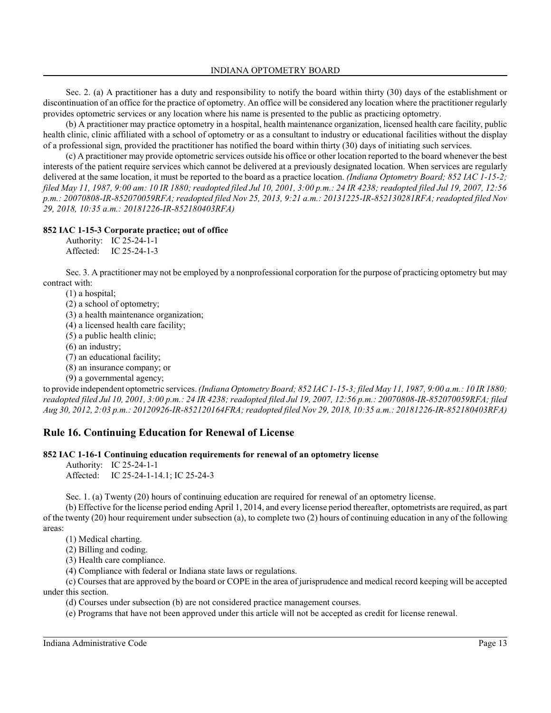Sec. 2. (a) A practitioner has a duty and responsibility to notify the board within thirty (30) days of the establishment or discontinuation of an office for the practice of optometry. An office will be considered any location where the practitioner regularly provides optometric services or any location where his name is presented to the public as practicing optometry.

(b) A practitioner may practice optometry in a hospital, health maintenance organization, licensed health care facility, public health clinic, clinic affiliated with a school of optometry or as a consultant to industry or educational facilities without the display of a professional sign, provided the practitioner has notified the board within thirty (30) days of initiating such services.

(c) A practitioner may provide optometric services outside his office or other location reported to the board whenever the best interests of the patient require services which cannot be delivered at a previously designated location. When services are regularly delivered at the same location, it must be reported to the board as a practice location. *(Indiana Optometry Board; 852 IAC 1-15-2; filed May 11, 1987, 9:00 am: 10 IR 1880; readopted filed Jul 10, 2001, 3:00 p.m.: 24 IR 4238; readopted filed Jul 19, 2007, 12:56 p.m.: 20070808-IR-852070059RFA; readopted filed Nov 25, 2013, 9:21 a.m.: 20131225-IR-852130281RFA; readopted filed Nov 29, 2018, 10:35 a.m.: 20181226-IR-852180403RFA)*

### **852 IAC 1-15-3 Corporate practice; out of office**

| Authority: | IC $25-24-1-1$ |
|------------|----------------|
| Affected:  | IC 25-24-1-3   |

Sec. 3. A practitioner may not be employed by a nonprofessional corporation for the purpose of practicing optometry but may contract with:

(1) a hospital;

(2) a school of optometry;

(3) a health maintenance organization;

(4) a licensed health care facility;

(5) a public health clinic;

(6) an industry;

(7) an educational facility;

(8) an insurance company; or

(9) a governmental agency;

to provide independent optometric services. *(Indiana Optometry Board; 852 IAC 1-15-3; filed May 11, 1987, 9:00 a.m.: 10 IR 1880; readopted filed Jul 10, 2001, 3:00 p.m.: 24 IR 4238; readopted filed Jul 19, 2007, 12:56 p.m.: 20070808-IR-852070059RFA; filed Aug 30, 2012, 2:03 p.m.: 20120926-IR-852120164FRA; readopted filed Nov 29, 2018, 10:35 a.m.: 20181226-IR-852180403RFA)*

### **Rule 16. Continuing Education for Renewal of License**

### **852 IAC 1-16-1 Continuing education requirements for renewal of an optometry license**

Authority: IC 25-24-1-1 Affected: IC 25-24-1-14.1; IC 25-24-3

Sec. 1. (a) Twenty (20) hours of continuing education are required for renewal of an optometry license.

(b) Effective for the license period ending April 1, 2014, and every license period thereafter, optometrists are required, as part of the twenty (20) hour requirement under subsection (a), to complete two (2) hours of continuing education in any of the following areas:

(1) Medical charting.

(2) Billing and coding.

(3) Health care compliance.

(4) Compliance with federal or Indiana state laws or regulations.

(c) Courses that are approved by the board or COPE in the area of jurisprudence and medical record keeping will be accepted under this section.

(d) Courses under subsection (b) are not considered practice management courses.

(e) Programs that have not been approved under this article will not be accepted as credit for license renewal.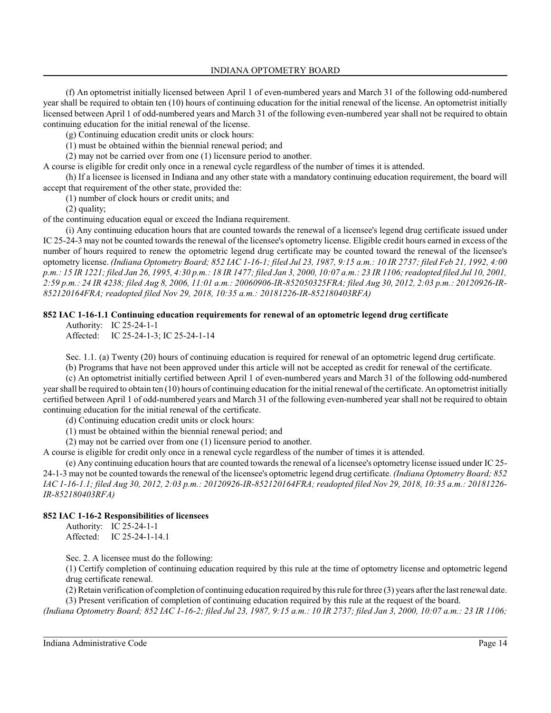(f) An optometrist initially licensed between April 1 of even-numbered years and March 31 of the following odd-numbered year shall be required to obtain ten (10) hours of continuing education for the initial renewal of the license. An optometrist initially licensed between April 1 of odd-numbered years and March 31 of the following even-numbered year shall not be required to obtain continuing education for the initial renewal of the license.

(g) Continuing education credit units or clock hours:

(1) must be obtained within the biennial renewal period; and

(2) may not be carried over from one (1) licensure period to another.

A course is eligible for credit only once in a renewal cycle regardless of the number of times it is attended.

(h) If a licensee is licensed in Indiana and any other state with a mandatory continuing education requirement, the board will accept that requirement of the other state, provided the:

(1) number of clock hours or credit units; and

(2) quality;

of the continuing education equal or exceed the Indiana requirement.

(i) Any continuing education hours that are counted towards the renewal of a licensee's legend drug certificate issued under IC 25-24-3 may not be counted towards the renewal of the licensee's optometry license. Eligible credit hours earned in excess of the number of hours required to renew the optometric legend drug certificate may be counted toward the renewal of the licensee's optometry license. *(Indiana Optometry Board; 852 IAC 1-16-1; filed Jul 23, 1987, 9:15 a.m.: 10 IR 2737; filed Feb 21, 1992, 4:00 p.m.: 15 IR 1221; filed Jan 26, 1995, 4:30 p.m.: 18 IR 1477; filed Jan 3, 2000, 10:07 a.m.: 23 IR 1106; readopted filed Jul 10, 2001, 2:59 p.m.: 24 IR 4238; filed Aug 8, 2006, 11:01 a.m.: 20060906-IR-852050325FRA; filed Aug 30, 2012, 2:03 p.m.: 20120926-IR-852120164FRA; readopted filed Nov 29, 2018, 10:35 a.m.: 20181226-IR-852180403RFA)*

### **852 IAC 1-16-1.1 Continuing education requirements for renewal of an optometric legend drug certificate**

Authority: IC 25-24-1-1 Affected: IC 25-24-1-3; IC 25-24-1-14

Sec. 1.1. (a) Twenty (20) hours of continuing education is required for renewal of an optometric legend drug certificate.

(b) Programs that have not been approved under this article will not be accepted as credit for renewal of the certificate.

(c) An optometrist initially certified between April 1 of even-numbered years and March 31 of the following odd-numbered year shall be required to obtain ten (10) hours of continuing education for the initial renewal of the certificate. An optometrist initially certified between April 1 of odd-numbered years and March 31 of the following even-numbered year shall not be required to obtain continuing education for the initial renewal of the certificate.

(d) Continuing education credit units or clock hours:

(1) must be obtained within the biennial renewal period; and

(2) may not be carried over from one (1) licensure period to another.

A course is eligible for credit only once in a renewal cycle regardless of the number of times it is attended.

(e) Any continuing education hours that are counted towards the renewal of a licensee's optometry license issued under IC 25- 24-1-3 may not be counted towards the renewal of the licensee's optometric legend drug certificate. *(Indiana Optometry Board; 852 IAC 1-16-1.1; filed Aug 30, 2012, 2:03 p.m.: 20120926-IR-852120164FRA; readopted filed Nov 29, 2018, 10:35 a.m.: 20181226- IR-852180403RFA)*

### **852 IAC 1-16-2 Responsibilities of licensees**

Authority: IC 25-24-1-1 Affected: IC 25-24-1-14.1

Sec. 2. A licensee must do the following:

(1) Certify completion of continuing education required by this rule at the time of optometry license and optometric legend drug certificate renewal.

(2) Retain verification of completion of continuing education required by thisrule for three (3) years after the last renewal date. (3) Present verification of completion of continuing education required by this rule at the request of the board.

*(Indiana Optometry Board; 852 IAC 1-16-2; filed Jul 23, 1987, 9:15 a.m.: 10 IR 2737; filed Jan 3, 2000, 10:07 a.m.: 23 IR 1106;*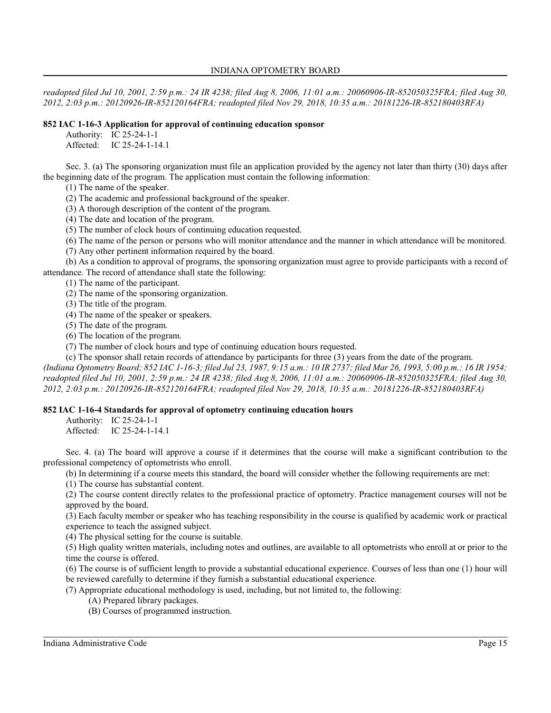*readopted filed Jul 10, 2001, 2:59 p.m.: 24 IR 4238; filed Aug 8, 2006, 11:01 a.m.: 20060906-IR-852050325FRA; filed Aug 30, 2012, 2:03 p.m.: 20120926-IR-852120164FRA; readopted filed Nov 29, 2018, 10:35 a.m.: 20181226-IR-852180403RFA)*

### **852 IAC 1-16-3 Application for approval of continuing education sponsor**

Authority: IC 25-24-1-1 Affected: IC 25-24-1-14.1

Sec. 3. (a) The sponsoring organization must file an application provided by the agency not later than thirty (30) days after the beginning date of the program. The application must contain the following information:

(1) The name of the speaker.

(2) The academic and professional background of the speaker.

(3) A thorough description of the content of the program.

(4) The date and location of the program.

(5) The number of clock hours of continuing education requested.

(6) The name of the person or persons who will monitor attendance and the manner in which attendance will be monitored.

(7) Any other pertinent information required by the board.

(b) As a condition to approval of programs, the sponsoring organization must agree to provide participants with a record of attendance. The record of attendance shall state the following:

(1) The name of the participant.

(2) The name of the sponsoring organization.

(3) The title of the program.

(4) The name of the speaker or speakers.

(5) The date of the program.

(6) The location of the program.

(7) The number of clock hours and type of continuing education hours requested.

(c) The sponsor shall retain records of attendance by participants for three (3) years from the date of the program. *(Indiana Optometry Board; 852 IAC 1-16-3; filed Jul 23, 1987, 9:15 a.m.: 10 IR 2737; filed Mar 26, 1993, 5:00 p.m.: 16 IR 1954; readopted filed Jul 10, 2001, 2:59 p.m.: 24 IR 4238; filed Aug 8, 2006, 11:01 a.m.: 20060906-IR-852050325FRA; filed Aug 30, 2012, 2:03 p.m.: 20120926-IR-852120164FRA; readopted filed Nov 29, 2018, 10:35 a.m.: 20181226-IR-852180403RFA)*

### **852 IAC 1-16-4 Standards for approval of optometry continuing education hours**

Authority: IC 25-24-1-1

Affected: IC 25-24-1-14.1

Sec. 4. (a) The board will approve a course if it determines that the course will make a significant contribution to the professional competency of optometrists who enroll.

(b) In determining if a course meets this standard, the board will consider whether the following requirements are met:

(1) The course has substantial content.

(2) The course content directly relates to the professional practice of optometry. Practice management courses will not be approved by the board.

(3) Each faculty member or speaker who has teaching responsibility in the course is qualified by academic work or practical experience to teach the assigned subject.

(4) The physical setting for the course is suitable.

(5) High quality written materials, including notes and outlines, are available to all optometrists who enroll at or prior to the time the course is offered.

(6) The course is of sufficient length to provide a substantial educational experience. Courses of less than one (1) hour will be reviewed carefully to determine if they furnish a substantial educational experience.

(7) Appropriate educational methodology is used, including, but not limited to, the following:

(A) Prepared library packages.

(B) Courses of programmed instruction.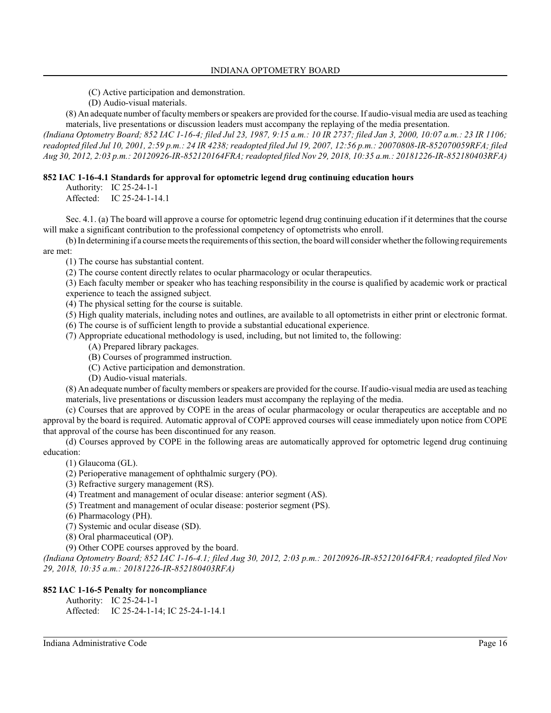- (C) Active participation and demonstration.
- (D) Audio-visual materials.

(8) An adequate number of facultymembers orspeakers are provided for the course. If audio-visual media are used as teaching materials, live presentations or discussion leaders must accompany the replaying of the media presentation.

*(Indiana Optometry Board; 852 IAC 1-16-4; filed Jul 23, 1987, 9:15 a.m.: 10 IR 2737; filed Jan 3, 2000, 10:07 a.m.: 23 IR 1106; readopted filed Jul 10, 2001, 2:59 p.m.: 24 IR 4238; readopted filed Jul 19, 2007, 12:56 p.m.: 20070808-IR-852070059RFA; filed Aug 30, 2012, 2:03 p.m.: 20120926-IR-852120164FRA; readopted filed Nov 29, 2018, 10:35 a.m.: 20181226-IR-852180403RFA)*

### **852 IAC 1-16-4.1 Standards for approval for optometric legend drug continuing education hours**

Authority: IC 25-24-1-1 Affected: IC 25-24-1-14.1

Sec. 4.1. (a) The board will approve a course for optometric legend drug continuing education if it determines that the course will make a significant contribution to the professional competency of optometrists who enroll.

(b) In determining if a course meets the requirements of thissection, the board will consider whether the following requirements are met:

- (1) The course has substantial content.
- (2) The course content directly relates to ocular pharmacology or ocular therapeutics.

(3) Each faculty member or speaker who has teaching responsibility in the course is qualified by academic work or practical experience to teach the assigned subject.

(4) The physical setting for the course is suitable.

(5) High quality materials, including notes and outlines, are available to all optometrists in either print or electronic format.

(6) The course is of sufficient length to provide a substantial educational experience.

- (7) Appropriate educational methodology is used, including, but not limited to, the following:
	- (A) Prepared library packages.
	- (B) Courses of programmed instruction.
	- (C) Active participation and demonstration.
	- (D) Audio-visual materials.

(8) An adequate number of faculty members orspeakers are provided for the course. If audio-visual media are used as teaching materials, live presentations or discussion leaders must accompany the replaying of the media.

(c) Courses that are approved by COPE in the areas of ocular pharmacology or ocular therapeutics are acceptable and no approval by the board is required. Automatic approval of COPE approved courses will cease immediately upon notice from COPE that approval of the course has been discontinued for any reason.

(d) Courses approved by COPE in the following areas are automatically approved for optometric legend drug continuing education:

(1) Glaucoma (GL).

- (2) Perioperative management of ophthalmic surgery (PO).
- (3) Refractive surgery management (RS).
- (4) Treatment and management of ocular disease: anterior segment (AS).
- (5) Treatment and management of ocular disease: posterior segment (PS).
- (6) Pharmacology (PH).
- (7) Systemic and ocular disease (SD).
- (8) Oral pharmaceutical (OP).
- (9) Other COPE courses approved by the board.

*(Indiana Optometry Board; 852 IAC 1-16-4.1; filed Aug 30, 2012, 2:03 p.m.: 20120926-IR-852120164FRA; readopted filed Nov 29, 2018, 10:35 a.m.: 20181226-IR-852180403RFA)*

### **852 IAC 1-16-5 Penalty for noncompliance**

Authority: IC 25-24-1-1 Affected: IC 25-24-1-14; IC 25-24-1-14.1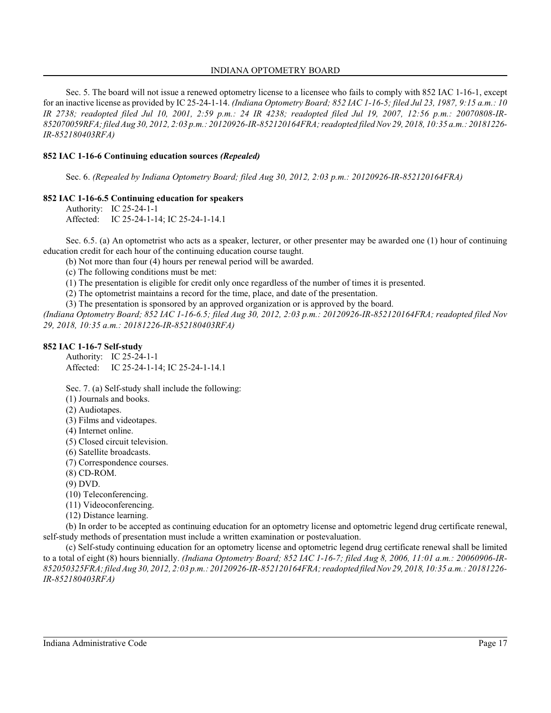Sec. 5. The board will not issue a renewed optometry license to a licensee who fails to comply with 852 IAC 1-16-1, except for an inactive license as provided by IC 25-24-1-14. *(Indiana Optometry Board; 852 IAC 1-16-5; filed Jul 23, 1987, 9:15 a.m.: 10 IR 2738; readopted filed Jul 10, 2001, 2:59 p.m.: 24 IR 4238; readopted filed Jul 19, 2007, 12:56 p.m.: 20070808-IR-852070059RFA; filed Aug 30, 2012, 2:03 p.m.: 20120926-IR-852120164FRA; readopted filed Nov 29, 2018, 10:35 a.m.: 20181226- IR-852180403RFA)*

#### **852 IAC 1-16-6 Continuing education sources** *(Repealed)*

Sec. 6. *(Repealed by Indiana Optometry Board; filed Aug 30, 2012, 2:03 p.m.: 20120926-IR-852120164FRA)*

### **852 IAC 1-16-6.5 Continuing education for speakers**

Authority: IC 25-24-1-1 Affected: IC 25-24-1-14; IC 25-24-1-14.1

Sec. 6.5. (a) An optometrist who acts as a speaker, lecturer, or other presenter may be awarded one (1) hour of continuing education credit for each hour of the continuing education course taught.

(b) Not more than four (4) hours per renewal period will be awarded.

(c) The following conditions must be met:

(1) The presentation is eligible for credit only once regardless of the number of times it is presented.

(2) The optometrist maintains a record for the time, place, and date of the presentation.

(3) The presentation is sponsored by an approved organization or is approved by the board.

*(Indiana Optometry Board; 852 IAC 1-16-6.5; filed Aug 30, 2012, 2:03 p.m.: 20120926-IR-852120164FRA; readopted filed Nov 29, 2018, 10:35 a.m.: 20181226-IR-852180403RFA)*

#### **852 IAC 1-16-7 Self-study**

Authority: IC 25-24-1-1 Affected: IC 25-24-1-14; IC 25-24-1-14.1

Sec. 7. (a) Self-study shall include the following:

(1) Journals and books.

(2) Audiotapes.

(3) Films and videotapes.

(4) Internet online.

(5) Closed circuit television.

(6) Satellite broadcasts.

(7) Correspondence courses.

(8) CD-ROM.

(9) DVD.

(10) Teleconferencing.

(11) Videoconferencing.

(12) Distance learning.

(b) In order to be accepted as continuing education for an optometry license and optometric legend drug certificate renewal, self-study methods of presentation must include a written examination or postevaluation.

(c) Self-study continuing education for an optometry license and optometric legend drug certificate renewal shall be limited to a total of eight (8) hours biennially. *(Indiana Optometry Board; 852 IAC 1-16-7; filed Aug 8, 2006, 11:01 a.m.: 20060906-IR-852050325FRA; filed Aug 30, 2012, 2:03 p.m.: 20120926-IR-852120164FRA; readopted filed Nov 29, 2018, 10:35 a.m.: 20181226- IR-852180403RFA)*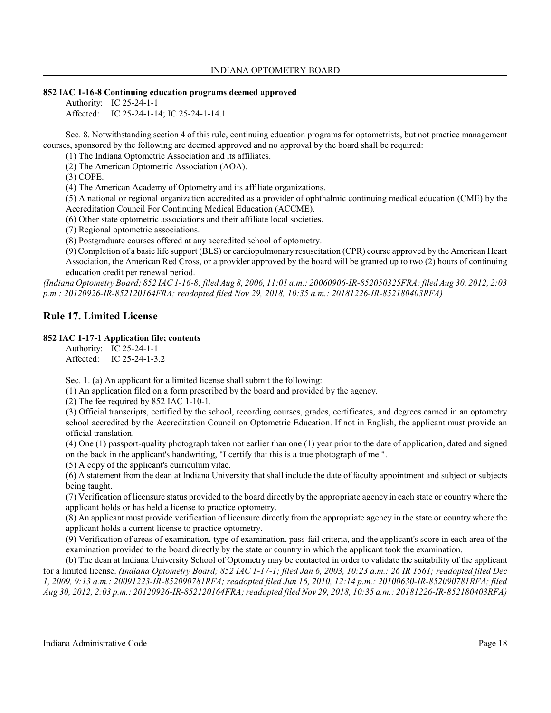### **852 IAC 1-16-8 Continuing education programs deemed approved**

Authority: IC 25-24-1-1 Affected: IC 25-24-1-14; IC 25-24-1-14.1

Sec. 8. Notwithstanding section 4 of this rule, continuing education programs for optometrists, but not practice management courses, sponsored by the following are deemed approved and no approval by the board shall be required:

(1) The Indiana Optometric Association and its affiliates.

(2) The American Optometric Association (AOA).

(3) COPE.

(4) The American Academy of Optometry and its affiliate organizations.

(5) A national or regional organization accredited as a provider of ophthalmic continuing medical education (CME) by the Accreditation Council For Continuing Medical Education (ACCME).

(6) Other state optometric associations and their affiliate local societies.

(7) Regional optometric associations.

(8) Postgraduate courses offered at any accredited school of optometry.

(9) Completion of a basic life support (BLS) or cardiopulmonary resuscitation (CPR) course approved by the American Heart Association, the American Red Cross, or a provider approved by the board will be granted up to two (2) hours of continuing education credit per renewal period.

*(Indiana Optometry Board; 852 IAC 1-16-8; filed Aug 8, 2006, 11:01 a.m.: 20060906-IR-852050325FRA; filed Aug 30, 2012, 2:03 p.m.: 20120926-IR-852120164FRA; readopted filed Nov 29, 2018, 10:35 a.m.: 20181226-IR-852180403RFA)*

# **Rule 17. Limited License**

### **852 IAC 1-17-1 Application file; contents**

Authority: IC 25-24-1-1 Affected: IC 25-24-1-3.2

Sec. 1. (a) An applicant for a limited license shall submit the following:

(1) An application filed on a form prescribed by the board and provided by the agency.

(2) The fee required by 852 IAC 1-10-1.

(3) Official transcripts, certified by the school, recording courses, grades, certificates, and degrees earned in an optometry school accredited by the Accreditation Council on Optometric Education. If not in English, the applicant must provide an official translation.

(4) One (1) passport-quality photograph taken not earlier than one (1) year prior to the date of application, dated and signed on the back in the applicant's handwriting, "I certify that this is a true photograph of me.".

(5) A copy of the applicant's curriculum vitae.

(6) A statement from the dean at Indiana University that shall include the date of faculty appointment and subject or subjects being taught.

(7) Verification of licensure status provided to the board directly by the appropriate agency in each state or country where the applicant holds or has held a license to practice optometry.

(8) An applicant must provide verification of licensure directly from the appropriate agency in the state or country where the applicant holds a current license to practice optometry.

(9) Verification of areas of examination, type of examination, pass-fail criteria, and the applicant's score in each area of the examination provided to the board directly by the state or country in which the applicant took the examination.

(b) The dean at Indiana University School of Optometry may be contacted in order to validate the suitability of the applicant for a limited license. *(Indiana Optometry Board; 852 IAC 1-17-1; filed Jan 6, 2003, 10:23 a.m.: 26 IR 1561; readopted filed Dec 1, 2009, 9:13 a.m.: 20091223-IR-852090781RFA; readopted filed Jun 16, 2010, 12:14 p.m.: 20100630-IR-852090781RFA; filed Aug 30, 2012, 2:03 p.m.: 20120926-IR-852120164FRA; readopted filed Nov 29, 2018, 10:35 a.m.: 20181226-IR-852180403RFA)*